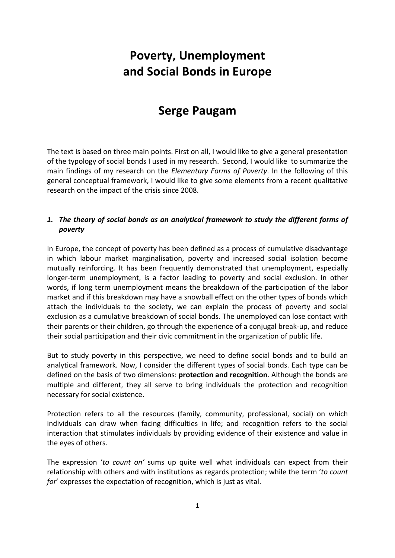# **Poverty, Unemployment and Social Bonds in Europe**

## **Serge Paugam**

The text is based on three main points. First on all, I would like to give a general presentation of the typology of social bonds I used in my research. Second, I would like to summarize the main findings of my research on the *Elementary Forms of Poverty*. In the following of this general conceptual framework, I would like to give some elements from a recent qualitative research on the impact of the crisis since 2008.

## 1. The theory of social bonds as an analytical framework to study the different forms of *poverty*

In Europe, the concept of poverty has been defined as a process of cumulative disadvantage in which labour market marginalisation, poverty and increased social isolation become mutually reinforcing. It has been frequently demonstrated that unemployment, especially longer-term unemployment, is a factor leading to poverty and social exclusion. In other words, if long term unemployment means the breakdown of the participation of the labor market and if this breakdown may have a snowball effect on the other types of bonds which attach the individuals to the society, we can explain the process of poverty and social exclusion as a cumulative breakdown of social bonds. The unemployed can lose contact with their parents or their children, go through the experience of a conjugal break-up, and reduce their social participation and their civic commitment in the organization of public life.

But to study poverty in this perspective, we need to define social bonds and to build an analytical framework. Now, I consider the different types of social bonds. Each type can be defined on the basis of two dimensions: **protection and recognition**. Although the bonds are multiple and different, they all serve to bring individuals the protection and recognition necessary for social existence.

Protection refers to all the resources (family, community, professional, social) on which individuals can draw when facing difficulties in life; and recognition refers to the social interaction that stimulates individuals by providing evidence of their existence and value in the eyes of others.

The expression 'to count on' sums up quite well what individuals can expect from their relationship with others and with institutions as regards protection; while the term 'to count *for'* expresses the expectation of recognition, which is just as vital.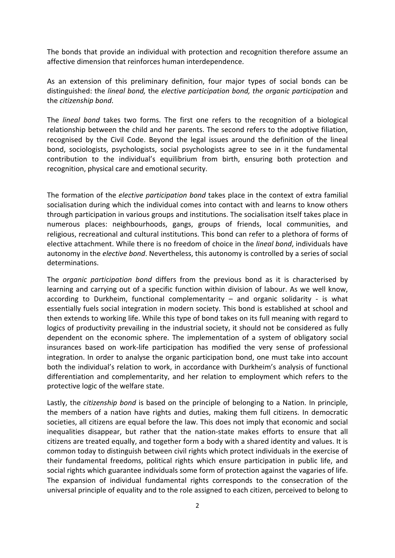The bonds that provide an individual with protection and recognition therefore assume an affective dimension that reinforces human interdependence.

As an extension of this preliminary definition, four major types of social bonds can be distinguished: the *lineal bond*, the *elective participation bond, the organic participation* and the *citizenship bond*. 

The *lineal* bond takes two forms. The first one refers to the recognition of a biological relationship between the child and her parents. The second refers to the adoptive filiation, recognised by the Civil Code. Beyond the legal issues around the definition of the lineal bond, sociologists, psychologists, social psychologists agree to see in it the fundamental contribution to the individual's equilibrium from birth, ensuring both protection and recognition, physical care and emotional security.

The formation of the *elective participation bond* takes place in the context of extra familial socialisation during which the individual comes into contact with and learns to know others through participation in various groups and institutions. The socialisation itself takes place in numerous places: neighbourhoods, gangs, groups of friends, local communities, and religious, recreational and cultural institutions. This bond can refer to a plethora of forms of elective attachment. While there is no freedom of choice in the *lineal bond*, individuals have autonomy in the *elective bond*. Nevertheless, this autonomy is controlled by a series of social determinations. 

The *organic participation bond* differs from the previous bond as it is characterised by learning and carrying out of a specific function within division of labour. As we well know, according to Durkheim, functional complementarity  $-$  and organic solidarity - is what essentially fuels social integration in modern society. This bond is established at school and then extends to working life. While this type of bond takes on its full meaning with regard to logics of productivity prevailing in the industrial society, it should not be considered as fully dependent on the economic sphere. The implementation of a system of obligatory social insurances based on work-life participation has modified the very sense of professional integration. In order to analyse the organic participation bond, one must take into account both the individual's relation to work, in accordance with Durkheim's analysis of functional differentiation and complementarity, and her relation to employment which refers to the protective logic of the welfare state.

Lastly, the *citizenship* bond is based on the principle of belonging to a Nation. In principle, the members of a nation have rights and duties, making them full citizens. In democratic societies, all citizens are equal before the law. This does not imply that economic and social inequalities disappear, but rather that the nation-state makes efforts to ensure that all citizens are treated equally, and together form a body with a shared identity and values. It is common today to distinguish between civil rights which protect individuals in the exercise of their fundamental freedoms, political rights which ensure participation in public life, and social rights which guarantee individuals some form of protection against the vagaries of life. The expansion of individual fundamental rights corresponds to the consecration of the universal principle of equality and to the role assigned to each citizen, perceived to belong to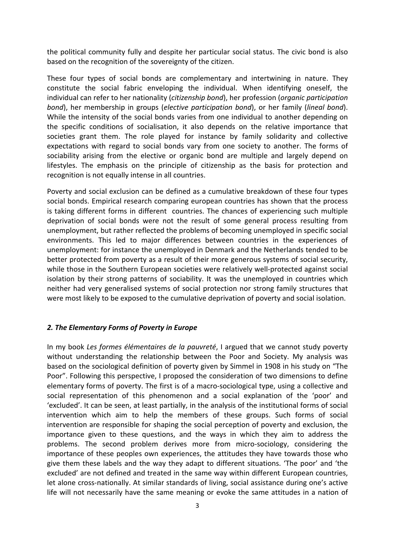the political community fully and despite her particular social status. The civic bond is also based on the recognition of the sovereignty of the citizen.

These four types of social bonds are complementary and intertwining in nature. They constitute the social fabric enveloping the individual. When identifying oneself, the individual can refer to her nationality (*citizenship bond*), her profession (*organic participation bond*), her membership in groups (*elective participation bond*), or her family (*lineal bond*). While the intensity of the social bonds varies from one individual to another depending on the specific conditions of socialisation, it also depends on the relative importance that societies grant them. The role played for instance by family solidarity and collective expectations with regard to social bonds vary from one society to another. The forms of sociability arising from the elective or organic bond are multiple and largely depend on lifestyles. The emphasis on the principle of citizenship as the basis for protection and recognition is not equally intense in all countries.

Poverty and social exclusion can be defined as a cumulative breakdown of these four types social bonds. Empirical research comparing european countries has shown that the process is taking different forms in different countries. The chances of experiencing such multiple deprivation of social bonds were not the result of some general process resulting from unemployment, but rather reflected the problems of becoming unemployed in specific social environments. This led to major differences between countries in the experiences of unemployment: for instance the unemployed in Denmark and the Netherlands tended to be better protected from poverty as a result of their more generous systems of social security, while those in the Southern European societies were relatively well-protected against social isolation by their strong patterns of sociability. It was the unemployed in countries which neither had very generalised systems of social protection nor strong family structures that were most likely to be exposed to the cumulative deprivation of poverty and social isolation.

#### *2. The Elementary Forms of Poverty in Europe*

In my book Les formes élémentaires de la pauvreté, I argued that we cannot study poverty without understanding the relationship between the Poor and Society. My analysis was based on the sociological definition of poverty given by Simmel in 1908 in his study on "The Poor". Following this perspective, I proposed the consideration of two dimensions to define elementary forms of poverty. The first is of a macro-sociological type, using a collective and social representation of this phenomenon and a social explanation of the 'poor' and 'excluded'. It can be seen, at least partially, in the analysis of the institutional forms of social intervention which aim to help the members of these groups. Such forms of social intervention are responsible for shaping the social perception of poverty and exclusion, the importance given to these questions, and the ways in which they aim to address the problems. The second problem derives more from micro-sociology, considering the importance of these peoples own experiences, the attitudes they have towards those who give them these labels and the way they adapt to different situations. The poor' and 'the excluded' are not defined and treated in the same way within different European countries, let alone cross-nationally. At similar standards of living, social assistance during one's active life will not necessarily have the same meaning or evoke the same attitudes in a nation of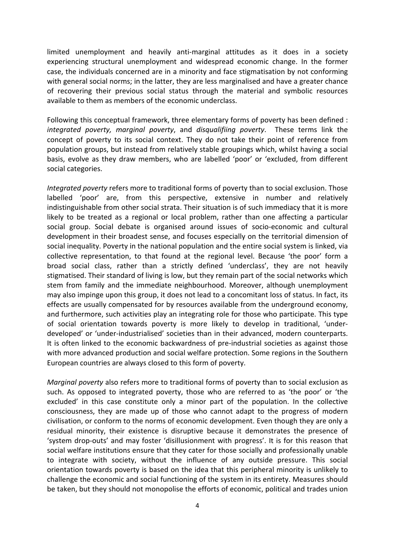limited unemployment and heavily anti-marginal attitudes as it does in a society experiencing structural unemployment and widespread economic change. In the former case, the individuals concerned are in a minority and face stigmatisation by not conforming with general social norms; in the latter, they are less marginalised and have a greater chance of recovering their previous social status through the material and symbolic resources available to them as members of the economic underclass.

Following this conceptual framework, three elementary forms of poverty has been defined : integrated poverty, marginal poverty, and disqualifiing poverty. These terms link the concept of poverty to its social context. They do not take their point of reference from population groups, but instead from relatively stable groupings which, whilst having a social basis, evolve as they draw members, who are labelled 'poor' or 'excluded, from different social categories.

*Integrated poverty* refers more to traditional forms of poverty than to social exclusion. Those labelled 'poor' are, from this perspective, extensive in number and relatively indistinguishable from other social strata. Their situation is of such immediacy that it is more likely to be treated as a regional or local problem, rather than one affecting a particular social group. Social debate is organised around issues of socio-economic and cultural development in their broadest sense, and focuses especially on the territorial dimension of social inequality. Poverty in the national population and the entire social system is linked, via collective representation, to that found at the regional level. Because 'the poor' form a broad social class, rather than a strictly defined 'underclass', they are not heavily stigmatised. Their standard of living is low, but they remain part of the social networks which stem from family and the immediate neighbourhood. Moreover, although unemployment may also impinge upon this group, it does not lead to a concomitant loss of status. In fact, its effects are usually compensated for by resources available from the underground economy, and furthermore, such activities play an integrating role for those who participate. This type of social orientation towards poverty is more likely to develop in traditional, 'underdeveloped' or 'under-industrialised' societies than in their advanced, modern counterparts. It is often linked to the economic backwardness of pre-industrial societies as against those with more advanced production and social welfare protection. Some regions in the Southern European countries are always closed to this form of poverty.

*Marginal poverty* also refers more to traditional forms of poverty than to social exclusion as such. As opposed to integrated poverty, those who are referred to as 'the poor' or 'the excluded' in this case constitute only a minor part of the population. In the collective consciousness, they are made up of those who cannot adapt to the progress of modern civilisation, or conform to the norms of economic development. Even though they are only a residual minority, their existence is disruptive because it demonstrates the presence of 'system drop-outs' and may foster 'disillusionment with progress'. It is for this reason that social welfare institutions ensure that they cater for those socially and professionally unable to integrate with society, without the influence of any outside pressure. This social orientation towards poverty is based on the idea that this peripheral minority is unlikely to challenge the economic and social functioning of the system in its entirety. Measures should be taken, but they should not monopolise the efforts of economic, political and trades union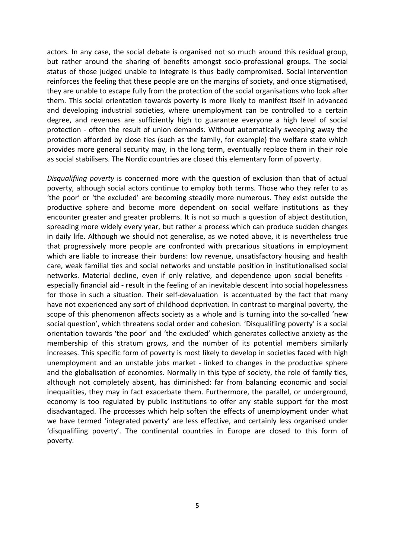actors. In any case, the social debate is organised not so much around this residual group, but rather around the sharing of benefits amongst socio-professional groups. The social status of those judged unable to integrate is thus badly compromised. Social intervention reinforces the feeling that these people are on the margins of society, and once stigmatised, they are unable to escape fully from the protection of the social organisations who look after them. This social orientation towards poverty is more likely to manifest itself in advanced and developing industrial societies, where unemployment can be controlled to a certain degree, and revenues are sufficiently high to guarantee everyone a high level of social protection - often the result of union demands. Without automatically sweeping away the protection afforded by close ties (such as the family, for example) the welfare state which provides more general security may, in the long term, eventually replace them in their role as social stabilisers. The Nordic countries are closed this elementary form of poverty.

*Disqualifiing poverty* is concerned more with the question of exclusion than that of actual poverty, although social actors continue to employ both terms. Those who they refer to as 'the poor' or 'the excluded' are becoming steadily more numerous. They exist outside the productive sphere and become more dependent on social welfare institutions as they encounter greater and greater problems. It is not so much a question of abject destitution, spreading more widely every year, but rather a process which can produce sudden changes in daily life. Although we should not generalise, as we noted above, it is nevertheless true that progressively more people are confronted with precarious situations in employment which are liable to increase their burdens: low revenue, unsatisfactory housing and health care, weak familial ties and social networks and unstable position in institutionalised social networks. Material decline, even if only relative, and dependence upon social benefits especially financial aid - result in the feeling of an inevitable descent into social hopelessness for those in such a situation. Their self-devaluation is accentuated by the fact that many have not experienced any sort of childhood deprivation. In contrast to marginal poverty, the scope of this phenomenon affects society as a whole and is turning into the so-called 'new social question', which threatens social order and cohesion. 'Disqualifiing poverty' is a social orientation towards 'the poor' and 'the excluded' which generates collective anxiety as the membership of this stratum grows, and the number of its potential members similarly increases. This specific form of poverty is most likely to develop in societies faced with high unemployment and an unstable jobs market - linked to changes in the productive sphere and the globalisation of economies. Normally in this type of society, the role of family ties, although not completely absent, has diminished: far from balancing economic and social inequalities, they may in fact exacerbate them. Furthermore, the parallel, or underground, economy is too regulated by public institutions to offer any stable support for the most disadvantaged. The processes which help soften the effects of unemployment under what we have termed 'integrated poverty' are less effective, and certainly less organised under 'disqualifiing poverty'. The continental countries in Europe are closed to this form of poverty.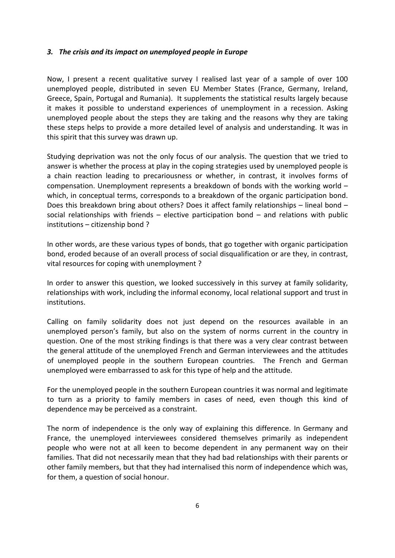### **3.** The crisis and its impact on unemployed people in Europe

Now, I present a recent qualitative survey I realised last year of a sample of over 100 unemployed people, distributed in seven EU Member States (France, Germany, Ireland, Greece, Spain, Portugal and Rumania). It supplements the statistical results largely because it makes it possible to understand experiences of unemployment in a recession. Asking unemployed people about the steps they are taking and the reasons why they are taking these steps helps to provide a more detailed level of analysis and understanding. It was in this spirit that this survey was drawn up.

Studying deprivation was not the only focus of our analysis. The question that we tried to answer is whether the process at play in the coping strategies used by unemployed people is a chain reaction leading to precariousness or whether, in contrast, it involves forms of compensation. Unemployment represents a breakdown of bonds with the working world  $$ which, in conceptual terms, corresponds to a breakdown of the organic participation bond. Does this breakdown bring about others? Does it affect family relationships  $-$  lineal bond  $$ social relationships with friends  $-$  elective participation bond  $-$  and relations with public institutions  $-$  citizenship bond ?

In other words, are these various types of bonds, that go together with organic participation bond, eroded because of an overall process of social disqualification or are they, in contrast, vital resources for coping with unemployment?

In order to answer this question, we looked successively in this survey at family solidarity, relationships with work, including the informal economy, local relational support and trust in institutions. 

Calling on family solidarity does not just depend on the resources available in an unemployed person's family, but also on the system of norms current in the country in question. One of the most striking findings is that there was a very clear contrast between the general attitude of the unemployed French and German interviewees and the attitudes of unemployed people in the southern European countries. The French and German unemployed were embarrassed to ask for this type of help and the attitude.

For the unemployed people in the southern European countries it was normal and legitimate to turn as a priority to family members in cases of need, even though this kind of dependence may be perceived as a constraint.

The norm of independence is the only way of explaining this difference. In Germany and France, the unemployed interviewees considered themselves primarily as independent people who were not at all keen to become dependent in any permanent way on their families. That did not necessarily mean that they had bad relationships with their parents or other family members, but that they had internalised this norm of independence which was, for them, a question of social honour.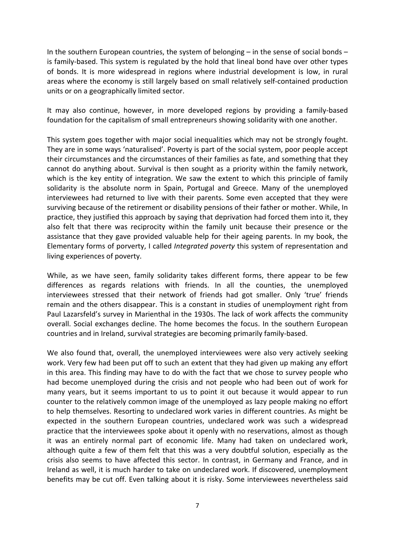In the southern European countries, the system of belonging  $-$  in the sense of social bonds  $$ is family-based. This system is regulated by the hold that lineal bond have over other types of bonds. It is more widespread in regions where industrial development is low, in rural areas where the economy is still largely based on small relatively self-contained production units or on a geographically limited sector.

It may also continue, however, in more developed regions by providing a family-based foundation for the capitalism of small entrepreneurs showing solidarity with one another.

This system goes together with major social inequalities which may not be strongly fought. They are in some ways 'naturalised'. Poverty is part of the social system, poor people accept their circumstances and the circumstances of their families as fate, and something that they cannot do anything about. Survival is then sought as a priority within the family network, which is the key entity of integration. We saw the extent to which this principle of family solidarity is the absolute norm in Spain, Portugal and Greece. Many of the unemployed interviewees had returned to live with their parents. Some even accepted that they were surviving because of the retirement or disability pensions of their father or mother. While, In practice, they justified this approach by saying that deprivation had forced them into it, they also felt that there was reciprocity within the family unit because their presence or the assistance that they gave provided valuable help for their ageing parents. In my book, the Elementary forms of porverty, I called *Integrated poverty* this system of representation and living experiences of poverty.

While, as we have seen, family solidarity takes different forms, there appear to be few differences as regards relations with friends. In all the counties, the unemployed interviewees stressed that their network of friends had got smaller. Only 'true' friends remain and the others disappear. This is a constant in studies of unemployment right from Paul Lazarsfeld's survey in Marienthal in the 1930s. The lack of work affects the community overall. Social exchanges decline. The home becomes the focus. In the southern European countries and in Ireland, survival strategies are becoming primarily family-based.

We also found that, overall, the unemployed interviewees were also very actively seeking work. Very few had been put off to such an extent that they had given up making any effort in this area. This finding may have to do with the fact that we chose to survey people who had become unemployed during the crisis and not people who had been out of work for many years, but it seems important to us to point it out because it would appear to run counter to the relatively common image of the unemployed as lazy people making no effort to help themselves. Resorting to undeclared work varies in different countries. As might be expected in the southern European countries, undeclared work was such a widespread practice that the interviewees spoke about it openly with no reservations, almost as though it was an entirely normal part of economic life. Many had taken on undeclared work, although quite a few of them felt that this was a very doubtful solution, especially as the crisis also seems to have affected this sector. In contrast, in Germany and France, and in Ireland as well, it is much harder to take on undeclared work. If discovered, unemployment benefits may be cut off. Even talking about it is risky. Some interviewees nevertheless said